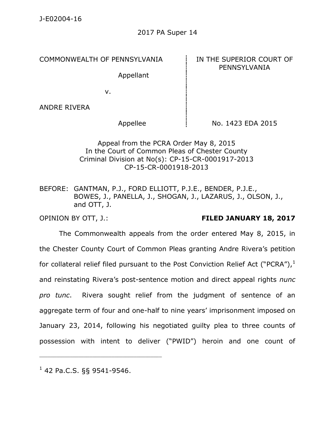COMMONWEALTH OF PENNSYLVANIA **IN THE SUPERIOR COURT OF** 

Appellant

# PENNSYLVANIA

v.

ANDRE RIVERA

Appellee  $\parallel$  No. 1423 EDA 2015

### Appeal from the PCRA Order May 8, 2015 In the Court of Common Pleas of Chester County Criminal Division at No(s): CP-15-CR-0001917-2013 CP-15-CR-0001918-2013

BEFORE: GANTMAN, P.J., FORD ELLIOTT, P.J.E., BENDER, P.J.E., BOWES, J., PANELLA, J., SHOGAN, J., LAZARUS, J., OLSON, J., and OTT, J.

## OPINION BY OTT, J.: **FILED JANUARY 18, 2017**

The Commonwealth appeals from the order entered May 8, 2015, in the Chester County Court of Common Pleas granting Andre Rivera's petition for collateral relief filed pursuant to the Post Conviction Relief Act ("PCRA"), $^1$ and reinstating Rivera's post-sentence motion and direct appeal rights *nunc pro tunc*. Rivera sought relief from the judgment of sentence of an aggregate term of four and one-half to nine years' imprisonment imposed on January 23, 2014, following his negotiated guilty plea to three counts of possession with intent to deliver ("PWID") heroin and one count of

 $1$  42 Pa.C.S. §§ 9541-9546.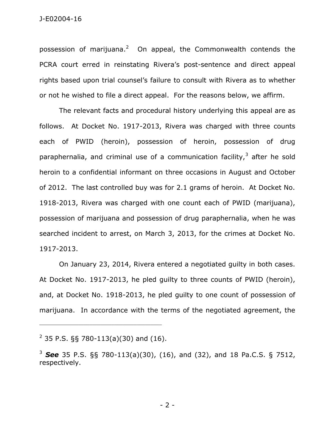possession of marijuana.<sup>2</sup> On appeal, the Commonwealth contends the PCRA court erred in reinstating Rivera's post-sentence and direct appeal rights based upon trial counsel's failure to consult with Rivera as to whether or not he wished to file a direct appeal. For the reasons below, we affirm.

The relevant facts and procedural history underlying this appeal are as follows. At Docket No. 1917-2013, Rivera was charged with three counts each of PWID (heroin), possession of heroin, possession of drug paraphernalia, and criminal use of a communication facility,<sup>3</sup> after he sold heroin to a confidential informant on three occasions in August and October of 2012. The last controlled buy was for 2.1 grams of heroin. At Docket No. 1918-2013, Rivera was charged with one count each of PWID (marijuana), possession of marijuana and possession of drug paraphernalia, when he was searched incident to arrest, on March 3, 2013, for the crimes at Docket No. 1917-2013.

On January 23, 2014, Rivera entered a negotiated guilty in both cases. At Docket No. 1917-2013, he pled guilty to three counts of PWID (heroin), and, at Docket No. 1918-2013, he pled guilty to one count of possession of marijuana. In accordance with the terms of the negotiated agreement, the

 $2$  35 P.S. §§ 780-113(a)(30) and (16).

<sup>3</sup> *See* 35 P.S. §§ 780-113(a)(30), (16), and (32), and 18 Pa.C.S. § 7512, respectively.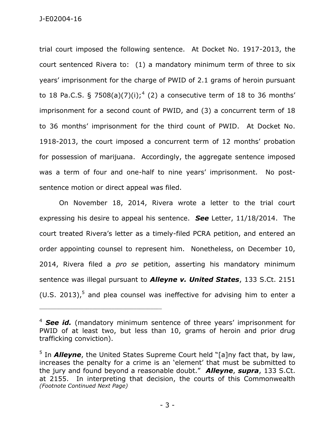J-E02004-16

trial court imposed the following sentence. At Docket No. 1917-2013, the court sentenced Rivera to: (1) a mandatory minimum term of three to six years' imprisonment for the charge of PWID of 2.1 grams of heroin pursuant to 18 Pa.C.S. § 7508(a)(7)(i);<sup>4</sup> (2) a consecutive term of 18 to 36 months' imprisonment for a second count of PWID, and (3) a concurrent term of 18 to 36 months' imprisonment for the third count of PWID. At Docket No. 1918-2013, the court imposed a concurrent term of 12 months' probation for possession of marijuana. Accordingly, the aggregate sentence imposed was a term of four and one-half to nine years' imprisonment. No postsentence motion or direct appeal was filed.

On November 18, 2014, Rivera wrote a letter to the trial court expressing his desire to appeal his sentence. *See* Letter, 11/18/2014. The court treated Rivera's letter as a timely-filed PCRA petition, and entered an order appointing counsel to represent him. Nonetheless, on December 10, 2014, Rivera filed a *pro se* petition, asserting his mandatory minimum sentence was illegal pursuant to *Alleyne v. United States*, 133 S.Ct. 2151 (U.S. 2013),<sup>5</sup> and plea counsel was ineffective for advising him to enter a

<sup>&</sup>lt;sup>4</sup> **See id.** (mandatory minimum sentence of three years' imprisonment for PWID of at least two, but less than 10, grams of heroin and prior drug trafficking conviction).

<sup>&</sup>lt;sup>5</sup> In *Alleyne*, the United States Supreme Court held "[a]ny fact that, by law, increases the penalty for a crime is an 'element' that must be submitted to the jury and found beyond a reasonable doubt." *Alleyne*, *supra*, 133 S.Ct. at 2155. In interpreting that decision, the courts of this Commonwealth *(Footnote Continued Next Page)*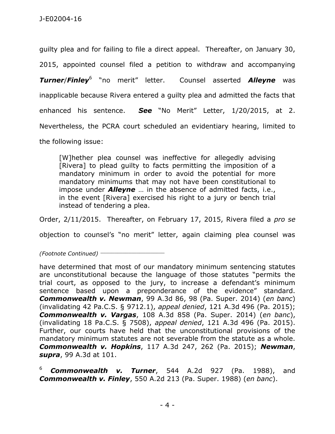guilty plea and for failing to file a direct appeal. Thereafter, on January 30, 2015, appointed counsel filed a petition to withdraw and accompanying *Turner*/*Finley*<sup>6</sup> "no merit" letter. Counsel asserted *Alleyne* was inapplicable because Rivera entered a guilty plea and admitted the facts that enhanced his sentence. *See* "No Merit" Letter, 1/20/2015, at 2. Nevertheless, the PCRA court scheduled an evidentiary hearing, limited to the following issue:

[W]hether plea counsel was ineffective for allegedly advising [Rivera] to plead guilty to facts permitting the imposition of a mandatory minimum in order to avoid the potential for more mandatory minimums that may not have been constitutional to impose under *Alleyne* … in the absence of admitted facts, i.e., in the event [Rivera] exercised his right to a jury or bench trial instead of tendering a plea.

Order, 2/11/2015. Thereafter, on February 17, 2015, Rivera filed a *pro se*

objection to counsel's "no merit" letter, again claiming plea counsel was

*(Footnote Continued)* \_\_\_\_\_\_\_\_\_\_\_\_\_\_\_\_\_\_\_\_\_\_\_

have determined that most of our mandatory minimum sentencing statutes are unconstitutional because the language of those statutes "permits the trial court, as opposed to the jury, to increase a defendant's minimum sentence based upon a preponderance of the evidence" standard. *Commonwealth v. Newman*, 99 A.3d 86, 98 (Pa. Super. 2014) (*en banc*) (invalidating 42 Pa.C.S. § 9712.1), *appeal denied*, 121 A.3d 496 (Pa. 2015); *Commonwealth v. Vargas*, 108 A.3d 858 (Pa. Super. 2014) (*en banc*), (invalidating 18 Pa.C.S. § 7508), *appeal denied*, 121 A.3d 496 (Pa. 2015). Further, our courts have held that the unconstitutional provisions of the mandatory minimum statutes are not severable from the statute as a whole. *Commonwealth v. Hopkins*, 117 A.3d 247, 262 (Pa. 2015); *Newman*, *supra*, 99 A.3d at 101.

<sup>6</sup> *Commonwealth v. Turner*, 544 A.2d 927 (Pa. 1988), and *Commonwealth v. Finley*, 550 A.2d 213 (Pa. Super. 1988) (*en banc*).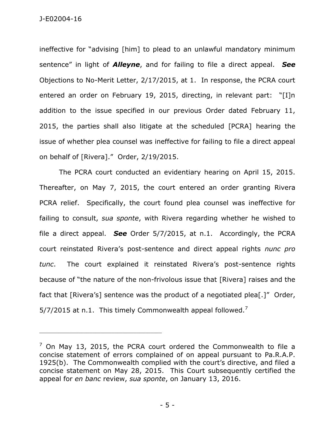ineffective for "advising [him] to plead to an unlawful mandatory minimum sentence" in light of *Alleyne*, and for failing to file a direct appeal. *See* Objections to No-Merit Letter, 2/17/2015, at 1. In response, the PCRA court entered an order on February 19, 2015, directing, in relevant part: "[I]n addition to the issue specified in our previous Order dated February 11, 2015, the parties shall also litigate at the scheduled [PCRA] hearing the issue of whether plea counsel was ineffective for failing to file a direct appeal on behalf of [Rivera]." Order, 2/19/2015.

The PCRA court conducted an evidentiary hearing on April 15, 2015. Thereafter, on May 7, 2015, the court entered an order granting Rivera PCRA relief. Specifically, the court found plea counsel was ineffective for failing to consult, *sua sponte*, with Rivera regarding whether he wished to file a direct appeal. *See* Order 5/7/2015, at n.1. Accordingly, the PCRA court reinstated Rivera's post-sentence and direct appeal rights *nunc pro tunc*. The court explained it reinstated Rivera's post-sentence rights because of "the nature of the non-frivolous issue that [Rivera] raises and the fact that [Rivera's] sentence was the product of a negotiated plea[.]" Order, 5/7/2015 at n.1. This timely Commonwealth appeal followed.<sup>7</sup>

 $<sup>7</sup>$  On May 13, 2015, the PCRA court ordered the Commonwealth to file a</sup> concise statement of errors complained of on appeal pursuant to Pa.R.A.P. 1925(b). The Commonwealth complied with the court's directive, and filed a concise statement on May 28, 2015. This Court subsequently certified the appeal for *en banc* review, *sua sponte*, on January 13, 2016.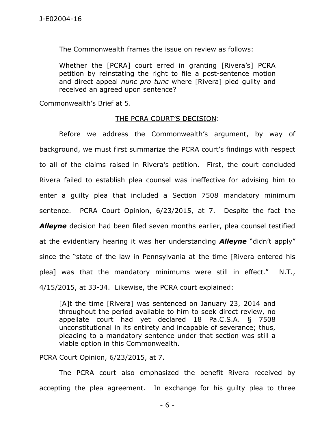The Commonwealth frames the issue on review as follows:

Whether the [PCRA] court erred in granting [Rivera's] PCRA petition by reinstating the right to file a post-sentence motion and direct appeal *nunc pro tunc* where [Rivera] pled guilty and received an agreed upon sentence?

Commonwealth's Brief at 5.

#### THE PCRA COURT'S DECISION:

Before we address the Commonwealth's argument, by way of background, we must first summarize the PCRA court's findings with respect to all of the claims raised in Rivera's petition. First, the court concluded Rivera failed to establish plea counsel was ineffective for advising him to enter a guilty plea that included a Section 7508 mandatory minimum sentence. PCRA Court Opinion, 6/23/2015, at 7. Despite the fact the *Alleyne* decision had been filed seven months earlier, plea counsel testified at the evidentiary hearing it was her understanding *Alleyne* "didn't apply" since the "state of the law in Pennsylvania at the time [Rivera entered his plea] was that the mandatory minimums were still in effect." N.T., 4/15/2015, at 33-34. Likewise, the PCRA court explained:

[A]t the time [Rivera] was sentenced on January 23, 2014 and throughout the period available to him to seek direct review, no appellate court had yet declared 18 Pa.C.S.A. § 7508 unconstitutional in its entirety and incapable of severance; thus, pleading to a mandatory sentence under that section was still a viable option in this Commonwealth.

PCRA Court Opinion, 6/23/2015, at 7.

The PCRA court also emphasized the benefit Rivera received by accepting the plea agreement. In exchange for his guilty plea to three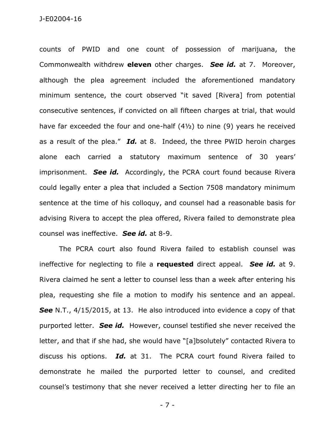counts of PWID and one count of possession of marijuana, the Commonwealth withdrew **eleven** other charges. *See id.* at 7. Moreover, although the plea agreement included the aforementioned mandatory minimum sentence, the court observed "it saved [Rivera] from potential consecutive sentences, if convicted on all fifteen charges at trial, that would have far exceeded the four and one-half (4½) to nine (9) years he received as a result of the plea." *Id.* at 8. Indeed, the three PWID heroin charges alone each carried a statutory maximum sentence of 30 years' imprisonment. *See id.* Accordingly, the PCRA court found because Rivera could legally enter a plea that included a Section 7508 mandatory minimum sentence at the time of his colloquy, and counsel had a reasonable basis for advising Rivera to accept the plea offered, Rivera failed to demonstrate plea counsel was ineffective. *See id.* at 8-9.

The PCRA court also found Rivera failed to establish counsel was ineffective for neglecting to file a **requested** direct appeal. *See id.* at 9. Rivera claimed he sent a letter to counsel less than a week after entering his plea, requesting she file a motion to modify his sentence and an appeal. *See* N.T., 4/15/2015, at 13. He also introduced into evidence a copy of that purported letter. *See id.* However, counsel testified she never received the letter, and that if she had, she would have "[a]bsolutely" contacted Rivera to discuss his options. *Id.* at 31. The PCRA court found Rivera failed to demonstrate he mailed the purported letter to counsel, and credited counsel's testimony that she never received a letter directing her to file an

- 7 -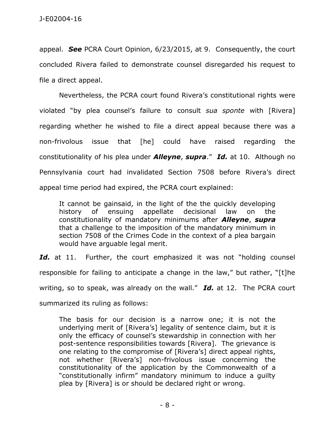appeal. *See* PCRA Court Opinion, 6/23/2015, at 9. Consequently, the court concluded Rivera failed to demonstrate counsel disregarded his request to file a direct appeal.

Nevertheless, the PCRA court found Rivera's constitutional rights were violated "by plea counsel's failure to consult *sua sponte* with [Rivera] regarding whether he wished to file a direct appeal because there was a non-frivolous issue that [he] could have raised regarding the constitutionality of his plea under *Alleyne*, *supra*." *Id.* at 10. Although no Pennsylvania court had invalidated Section 7508 before Rivera's direct appeal time period had expired, the PCRA court explained:

It cannot be gainsaid, in the light of the the quickly developing history of ensuing appellate decisional law on the constitutionality of mandatory minimums after *Alleyne*, *supra* that a challenge to the imposition of the mandatory minimum in section 7508 of the Crimes Code in the context of a plea bargain would have arguable legal merit.

Id. at 11. Further, the court emphasized it was not "holding counsel responsible for failing to anticipate a change in the law," but rather, "[t]he writing, so to speak, was already on the wall." *Id.* at 12. The PCRA court summarized its ruling as follows:

The basis for our decision is a narrow one; it is not the underlying merit of [Rivera's] legality of sentence claim, but it is only the efficacy of counsel's stewardship in connection with her post-sentence responsibilities towards [Rivera]. The grievance is one relating to the compromise of [Rivera's] direct appeal rights, not whether [Rivera's] non-frivolous issue concerning the constitutionality of the application by the Commonwealth of a "constitutionally infirm" mandatory minimum to induce a guilty plea by [Rivera] is or should be declared right or wrong.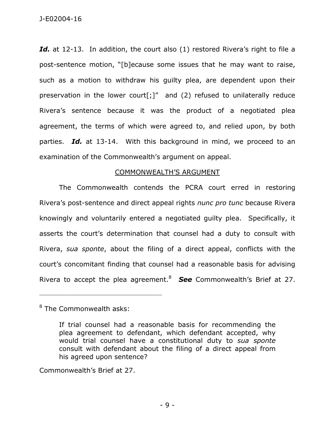J-E02004-16

Id. at 12-13. In addition, the court also (1) restored Rivera's right to file a post-sentence motion, "[b]ecause some issues that he may want to raise, such as a motion to withdraw his guilty plea, are dependent upon their preservation in the lower court[;]" and (2) refused to unilaterally reduce Rivera's sentence because it was the product of a negotiated plea agreement, the terms of which were agreed to, and relied upon, by both parties. *Id.* at 13-14. With this background in mind, we proceed to an examination of the Commonwealth's argument on appeal.

#### COMMONWEALTH'S ARGUMENT

The Commonwealth contends the PCRA court erred in restoring Rivera's post-sentence and direct appeal rights *nunc pro tunc* because Rivera knowingly and voluntarily entered a negotiated guilty plea. Specifically, it asserts the court's determination that counsel had a duty to consult with Rivera, *sua sponte*, about the filing of a direct appeal, conflicts with the court's concomitant finding that counsel had a reasonable basis for advising Rivera to accept the plea agreement.<sup>8</sup> **See** Commonwealth's Brief at 27.

<sup>8</sup> The Commonwealth asks:

\_\_\_\_\_\_\_\_\_\_\_\_\_\_\_\_\_\_\_\_\_\_\_\_\_\_\_\_\_\_\_\_\_\_\_\_\_\_\_\_\_\_\_\_

Commonwealth's Brief at 27.

If trial counsel had a reasonable basis for recommending the plea agreement to defendant, which defendant accepted, why would trial counsel have a constitutional duty to *sua sponte* consult with defendant about the filing of a direct appeal from his agreed upon sentence?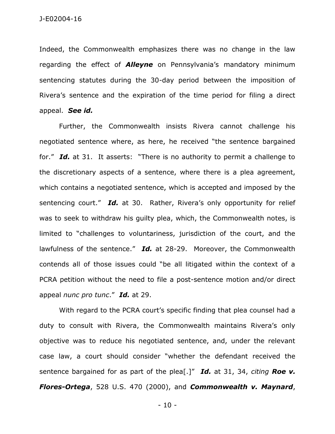Indeed, the Commonwealth emphasizes there was no change in the law regarding the effect of *Alleyne* on Pennsylvania's mandatory minimum sentencing statutes during the 30-day period between the imposition of Rivera's sentence and the expiration of the time period for filing a direct appeal. *See id.*

Further, the Commonwealth insists Rivera cannot challenge his negotiated sentence where, as here, he received "the sentence bargained for." *Id.* at 31. It asserts: "There is no authority to permit a challenge to the discretionary aspects of a sentence, where there is a plea agreement, which contains a negotiated sentence, which is accepted and imposed by the sentencing court." *Id.* at 30. Rather, Rivera's only opportunity for relief was to seek to withdraw his guilty plea, which, the Commonwealth notes, is limited to "challenges to voluntariness, jurisdiction of the court, and the lawfulness of the sentence." *Id.* at 28-29. Moreover, the Commonwealth contends all of those issues could "be all litigated within the context of a PCRA petition without the need to file a post-sentence motion and/or direct appeal *nunc pro tunc*." *Id.* at 29.

With regard to the PCRA court's specific finding that plea counsel had a duty to consult with Rivera, the Commonwealth maintains Rivera's only objective was to reduce his negotiated sentence, and, under the relevant case law, a court should consider "whether the defendant received the sentence bargained for as part of the plea[.]" *Id.* at 31, 34, *citing Roe v. Flores-Ortega*, 528 U.S. 470 (2000), and *Commonwealth v. Maynard*,

- 10 -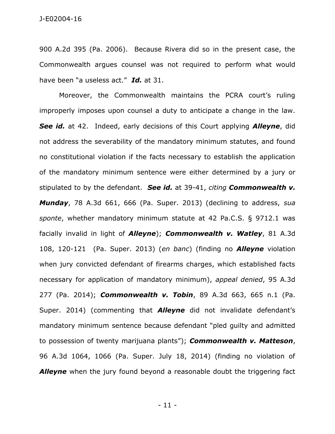900 A.2d 395 (Pa. 2006). Because Rivera did so in the present case, the Commonwealth argues counsel was not required to perform what would have been "a useless act." *Id.* at 31.

Moreover, the Commonwealth maintains the PCRA court's ruling improperly imposes upon counsel a duty to anticipate a change in the law. *See id.* at 42. Indeed, early decisions of this Court applying *Alleyne*, did not address the severability of the mandatory minimum statutes, and found no constitutional violation if the facts necessary to establish the application of the mandatory minimum sentence were either determined by a jury or stipulated to by the defendant. *See id.* at 39-41, *citing Commonwealth v. Munday*, 78 A.3d 661, 666 (Pa. Super. 2013) (declining to address, *sua sponte*, whether mandatory minimum statute at 42 Pa.C.S. § 9712.1 was facially invalid in light of *Alleyne*); *Commonwealth v. Watley*, 81 A.3d 108, 120-121 (Pa. Super. 2013) (*en banc*) (finding no *Alleyne* violation when jury convicted defendant of firearms charges, which established facts necessary for application of mandatory minimum), *appeal denied*, 95 A.3d 277 (Pa. 2014); *Commonwealth v. Tobin*, 89 A.3d 663, 665 n.1 (Pa. Super. 2014) (commenting that *Alleyne* did not invalidate defendant's mandatory minimum sentence because defendant "pled guilty and admitted to possession of twenty marijuana plants"); *Commonwealth v. Matteson*, 96 A.3d 1064, 1066 (Pa. Super. July 18, 2014) (finding no violation of **Alleyne** when the jury found beyond a reasonable doubt the triggering fact

- 11 -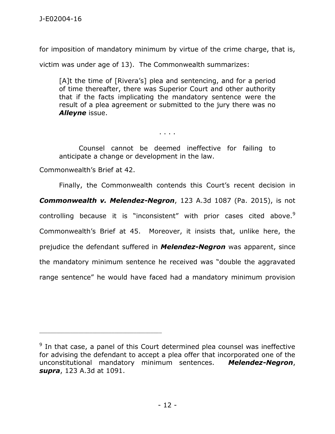for imposition of mandatory minimum by virtue of the crime charge, that is,

victim was under age of 13). The Commonwealth summarizes:

[A]t the time of [Rivera's] plea and sentencing, and for a period of time thereafter, there was Superior Court and other authority that if the facts implicating the mandatory sentence were the result of a plea agreement or submitted to the jury there was no *Alleyne* issue.

. . . .

Counsel cannot be deemed ineffective for failing to anticipate a change or development in the law.

Commonwealth's Brief at 42.

\_\_\_\_\_\_\_\_\_\_\_\_\_\_\_\_\_\_\_\_\_\_\_\_\_\_\_\_\_\_\_\_\_\_\_\_\_\_\_\_\_\_\_\_

Finally, the Commonwealth contends this Court's recent decision in *Commonwealth v. Melendez-Negron*, 123 A.3d 1087 (Pa. 2015), is not controlling because it is "inconsistent" with prior cases cited above. $9$ Commonwealth's Brief at 45. Moreover, it insists that, unlike here, the prejudice the defendant suffered in *Melendez-Negron* was apparent, since the mandatory minimum sentence he received was "double the aggravated range sentence" he would have faced had a mandatory minimum provision

 $9$  In that case, a panel of this Court determined plea counsel was ineffective for advising the defendant to accept a plea offer that incorporated one of the unconstitutional mandatory minimum sentences. *Melendez-Negron*, *supra*, 123 A.3d at 1091.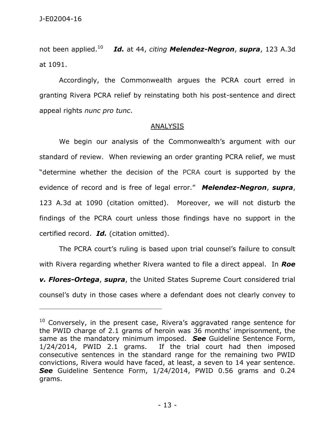not been applied.<sup>10</sup> *Id.* at 44, *citing Melendez-Negron*, *supra*, 123 A.3d at 1091.

Accordingly, the Commonwealth argues the PCRA court erred in granting Rivera PCRA relief by reinstating both his post-sentence and direct appeal rights *nunc pro tunc*.

#### **ANALYSIS**

We begin our analysis of the Commonwealth's argument with our standard of review. When reviewing an order granting PCRA relief, we must "determine whether the decision of the PCRA court is supported by the evidence of record and is free of legal error." *Melendez-Negron*, *supra*, 123 A.3d at 1090 (citation omitted). Moreover, we will not disturb the findings of the PCRA court unless those findings have no support in the certified record. *Id.* (citation omitted).

The PCRA court's ruling is based upon trial counsel's failure to consult with Rivera regarding whether Rivera wanted to file a direct appeal. In *Roe v. Flores-Ortega*, *supra*, the United States Supreme Court considered trial counsel's duty in those cases where a defendant does not clearly convey to

 $10$  Conversely, in the present case, Rivera's aggravated range sentence for the PWID charge of 2.1 grams of heroin was 36 months' imprisonment, the same as the mandatory minimum imposed. *See* Guideline Sentence Form, 1/24/2014, PWID 2.1 grams. If the trial court had then imposed consecutive sentences in the standard range for the remaining two PWID convictions, Rivera would have faced, at least, a seven to 14 year sentence. *See* Guideline Sentence Form, 1/24/2014, PWID 0.56 grams and 0.24 grams.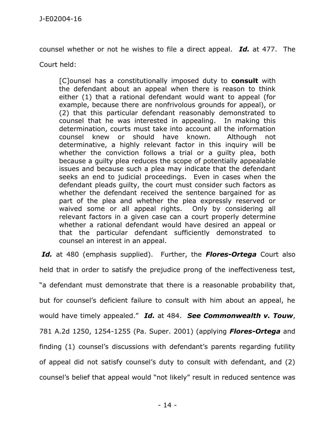counsel whether or not he wishes to file a direct appeal. *Id.* at 477. The

Court held:

[C]ounsel has a constitutionally imposed duty to **consult** with the defendant about an appeal when there is reason to think either (1) that a rational defendant would want to appeal (for example, because there are nonfrivolous grounds for appeal), or (2) that this particular defendant reasonably demonstrated to counsel that he was interested in appealing. In making this determination, courts must take into account all the information counsel knew or should have known. Although not determinative, a highly relevant factor in this inquiry will be whether the conviction follows a trial or a guilty plea, both because a guilty plea reduces the scope of potentially appealable issues and because such a plea may indicate that the defendant seeks an end to judicial proceedings. Even in cases when the defendant pleads guilty, the court must consider such factors as whether the defendant received the sentence bargained for as part of the plea and whether the plea expressly reserved or waived some or all appeal rights. Only by considering all relevant factors in a given case can a court properly determine whether a rational defendant would have desired an appeal or that the particular defendant sufficiently demonstrated to counsel an interest in an appeal.

*Id.* at 480 (emphasis supplied). Further, the *Flores-Ortega* Court also held that in order to satisfy the prejudice prong of the ineffectiveness test, "a defendant must demonstrate that there is a reasonable probability that, but for counsel's deficient failure to consult with him about an appeal, he would have timely appealed." *Id.* at 484. *See Commonwealth v. Touw*, 781 A.2d 1250, 1254-1255 (Pa. Super. 2001) (applying *Flores-Ortega* and finding (1) counsel's discussions with defendant's parents regarding futility of appeal did not satisfy counsel's duty to consult with defendant, and (2) counsel's belief that appeal would "not likely" result in reduced sentence was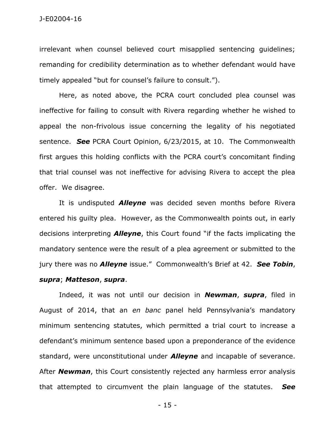irrelevant when counsel believed court misapplied sentencing guidelines; remanding for credibility determination as to whether defendant would have timely appealed "but for counsel's failure to consult.").

Here, as noted above, the PCRA court concluded plea counsel was ineffective for failing to consult with Rivera regarding whether he wished to appeal the non-frivolous issue concerning the legality of his negotiated sentence. *See* PCRA Court Opinion, 6/23/2015, at 10. The Commonwealth first argues this holding conflicts with the PCRA court's concomitant finding that trial counsel was not ineffective for advising Rivera to accept the plea offer. We disagree.

It is undisputed *Alleyne* was decided seven months before Rivera entered his guilty plea. However, as the Commonwealth points out, in early decisions interpreting *Alleyne*, this Court found "if the facts implicating the mandatory sentence were the result of a plea agreement or submitted to the jury there was no *Alleyne* issue." Commonwealth's Brief at 42. *See Tobin*, *supra*; *Matteson*, *supra*.

Indeed, it was not until our decision in *Newman*, *supra*, filed in August of 2014, that an *en banc* panel held Pennsylvania's mandatory minimum sentencing statutes, which permitted a trial court to increase a defendant's minimum sentence based upon a preponderance of the evidence standard, were unconstitutional under *Alleyne* and incapable of severance. After *Newman*, this Court consistently rejected any harmless error analysis that attempted to circumvent the plain language of the statutes. *See*

- 15 -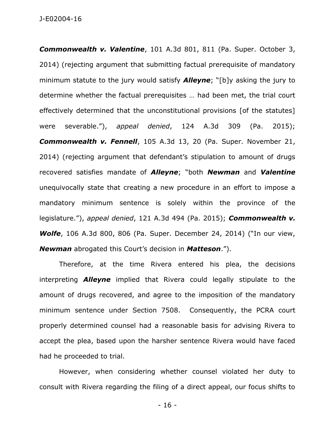J-E02004-16

*Commonwealth v. Valentine*, 101 A.3d 801, 811 (Pa. Super. October 3, 2014) (rejecting argument that submitting factual prerequisite of mandatory minimum statute to the jury would satisfy *Alleyne*; "[b]y asking the jury to determine whether the factual prerequisites … had been met, the trial court effectively determined that the unconstitutional provisions [of the statutes] were severable."), *appeal denied*, 124 A.3d 309 (Pa. 2015); *Commonwealth v. Fennell*, 105 A.3d 13, 20 (Pa. Super. November 21, 2014) (rejecting argument that defendant's stipulation to amount of drugs recovered satisfies mandate of *Alleyne*; "both *Newman* and *Valentine* unequivocally state that creating a new procedure in an effort to impose a mandatory minimum sentence is solely within the province of the legislature."), *appeal denied*, 121 A.3d 494 (Pa. 2015); *Commonwealth v. Wolfe*, 106 A.3d 800, 806 (Pa. Super. December 24, 2014) ("In our view, *Newman* abrogated this Court's decision in *Matteson*.").

Therefore, at the time Rivera entered his plea, the decisions interpreting *Alleyne* implied that Rivera could legally stipulate to the amount of drugs recovered, and agree to the imposition of the mandatory minimum sentence under Section 7508. Consequently, the PCRA court properly determined counsel had a reasonable basis for advising Rivera to accept the plea, based upon the harsher sentence Rivera would have faced had he proceeded to trial.

However, when considering whether counsel violated her duty to consult with Rivera regarding the filing of a direct appeal, our focus shifts to

- 16 -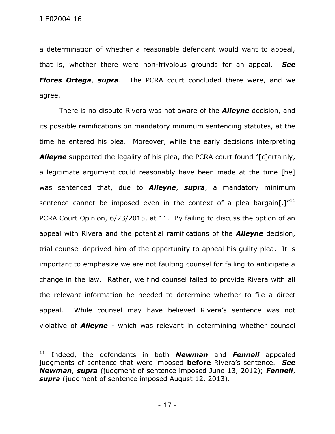a determination of whether a reasonable defendant would want to appeal, that is, whether there were non-frivolous grounds for an appeal. *See Flores Ortega*, *supra*. The PCRA court concluded there were, and we agree.

There is no dispute Rivera was not aware of the *Alleyne* decision, and its possible ramifications on mandatory minimum sentencing statutes, at the time he entered his plea. Moreover, while the early decisions interpreting *Alleyne* supported the legality of his plea, the PCRA court found "[c]ertainly, a legitimate argument could reasonably have been made at the time [he] was sentenced that, due to *Alleyne*, *supra*, a mandatory minimum sentence cannot be imposed even in the context of a plea bargain[.] $^{\prime\prime}^{11}$ PCRA Court Opinion, 6/23/2015, at 11. By failing to discuss the option of an appeal with Rivera and the potential ramifications of the *Alleyne* decision, trial counsel deprived him of the opportunity to appeal his guilty plea. It is important to emphasize we are not faulting counsel for failing to anticipate a change in the law. Rather, we find counsel failed to provide Rivera with all the relevant information he needed to determine whether to file a direct appeal. While counsel may have believed Rivera's sentence was not violative of *Alleyne* - which was relevant in determining whether counsel

<sup>11</sup> Indeed, the defendants in both *Newman* and *Fennell* appealed judgments of sentence that were imposed **before** Rivera's sentence. *See Newman*, *supra* (judgment of sentence imposed June 13, 2012); *Fennell*, *supra* (judgment of sentence imposed August 12, 2013).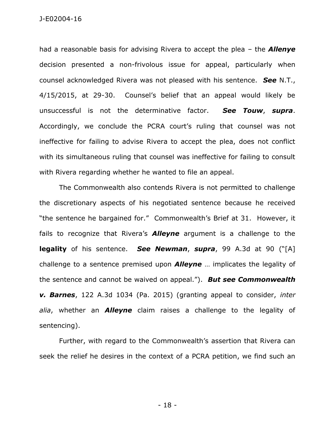J-E02004-16

had a reasonable basis for advising Rivera to accept the plea – the *Allenye* decision presented a non-frivolous issue for appeal, particularly when counsel acknowledged Rivera was not pleased with his sentence. *See* N.T., 4/15/2015, at 29-30. Counsel's belief that an appeal would likely be unsuccessful is not the determinative factor. *See Touw*, *supra*. Accordingly, we conclude the PCRA court's ruling that counsel was not ineffective for failing to advise Rivera to accept the plea, does not conflict with its simultaneous ruling that counsel was ineffective for failing to consult with Rivera regarding whether he wanted to file an appeal.

The Commonwealth also contends Rivera is not permitted to challenge the discretionary aspects of his negotiated sentence because he received "the sentence he bargained for." Commonwealth's Brief at 31. However, it fails to recognize that Rivera's *Alleyne* argument is a challenge to the **legality** of his sentence. *See Newman*, *supra*, 99 A.3d at 90 ("[A] challenge to a sentence premised upon *Alleyne* … implicates the legality of the sentence and cannot be waived on appeal."). *But see Commonwealth v. Barnes*, 122 A.3d 1034 (Pa. 2015) (granting appeal to consider, *inter alia*, whether an *Alleyne* claim raises a challenge to the legality of sentencing).

Further, with regard to the Commonwealth's assertion that Rivera can seek the relief he desires in the context of a PCRA petition, we find such an

- 18 -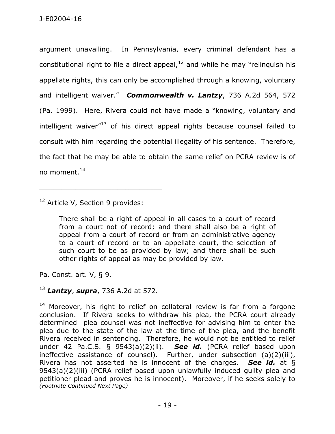argument unavailing. In Pennsylvania, every criminal defendant has a constitutional right to file a direct appeal, $12$  and while he may "relinquish his appellate rights, this can only be accomplished through a knowing, voluntary and intelligent waiver." *Commonwealth v. Lantzy*, 736 A.2d 564, 572 (Pa. 1999). Here, Rivera could not have made a "knowing, voluntary and intelligent waiver $13$  of his direct appeal rights because counsel failed to consult with him regarding the potential illegality of his sentence. Therefore, the fact that he may be able to obtain the same relief on PCRA review is of no moment.<sup>14</sup>

<sup>12</sup> Article V, Section 9 provides:

\_\_\_\_\_\_\_\_\_\_\_\_\_\_\_\_\_\_\_\_\_\_\_\_\_\_\_\_\_\_\_\_\_\_\_\_\_\_\_\_\_\_\_\_

There shall be a right of appeal in all cases to a court of record from a court not of record; and there shall also be a right of appeal from a court of record or from an administrative agency to a court of record or to an appellate court, the selection of such court to be as provided by law; and there shall be such other rights of appeal as may be provided by law.

Pa. Const. art. V, § 9.

# <sup>13</sup> *Lantzy*, *supra*, 736 A.2d at 572.

 $14$  Moreover, his right to relief on collateral review is far from a forgone conclusion. If Rivera seeks to withdraw his plea, the PCRA court already determined plea counsel was not ineffective for advising him to enter the plea due to the state of the law at the time of the plea, and the benefit Rivera received in sentencing. Therefore, he would not be entitled to relief under 42 Pa.C.S. § 9543(a)(2)(ii). *See id.* (PCRA relief based upon ineffective assistance of counsel). Further, under subsection (a)(2)(iii), Rivera has not asserted he is innocent of the charges. *See id.* at § 9543(a)(2)(iii) (PCRA relief based upon unlawfully induced guilty plea and petitioner plead and proves he is innocent). Moreover, if he seeks solely to *(Footnote Continued Next Page)*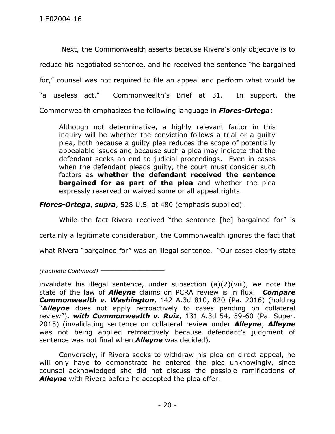Next, the Commonwealth asserts because Rivera's only objective is to reduce his negotiated sentence, and he received the sentence "he bargained for," counsel was not required to file an appeal and perform what would be "a useless act." Commonwealth's Brief at 31. In support, the Commonwealth emphasizes the following language in *Flores-Ortega*:

Although not determinative, a highly relevant factor in this inquiry will be whether the conviction follows a trial or a guilty plea, both because a guilty plea reduces the scope of potentially appealable issues and because such a plea may indicate that the defendant seeks an end to judicial proceedings. Even in cases when the defendant pleads guilty, the court must consider such factors as **whether the defendant received the sentence bargained for as part of the plea** and whether the plea expressly reserved or waived some or all appeal rights.

*Flores-Ortega*, *supra*, 528 U.S. at 480 (emphasis supplied).

While the fact Rivera received "the sentence [he] bargained for" is

certainly a legitimate consideration, the Commonwealth ignores the fact that

what Rivera "bargained for" was an illegal sentence. "Our cases clearly state

*(Footnote Continued)* \_\_\_\_\_\_\_\_\_\_\_\_\_\_\_\_\_\_\_\_\_\_\_

invalidate his illegal sentence, under subsection (a)(2)(viii), we note the state of the law of *Alleyne* claims on PCRA review is in flux. *Compare Commonwealth v. Washington*, 142 A.3d 810, 820 (Pa. 2016) (holding "*Alleyne* does not apply retroactively to cases pending on collateral review"), *with Commonwealth v. Ruiz*, 131 A.3d 54, 59-60 (Pa. Super. 2015) (invalidating sentence on collateral review under *Alleyne*; *Alleyne* was not being applied retroactively because defendant's judgment of sentence was not final when *Alleyne* was decided).

Conversely, if Rivera seeks to withdraw his plea on direct appeal, he will only have to demonstrate he entered the plea unknowingly, since counsel acknowledged she did not discuss the possible ramifications of *Alleyne* with Rivera before he accepted the plea offer.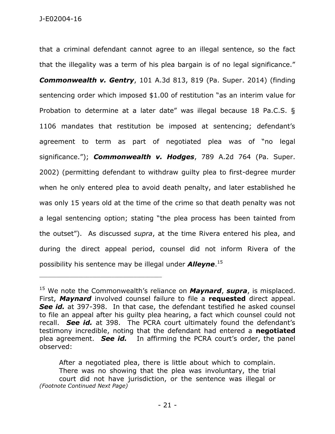that a criminal defendant cannot agree to an illegal sentence, so the fact that the illegality was a term of his plea bargain is of no legal significance." *Commonwealth v. Gentry*, 101 A.3d 813, 819 (Pa. Super. 2014) (finding sentencing order which imposed \$1.00 of restitution "as an interim value for Probation to determine at a later date" was illegal because 18 Pa.C.S. § 1106 mandates that restitution be imposed at sentencing; defendant's agreement to term as part of negotiated plea was of "no legal significance."); *Commonwealth v. Hodges*, 789 A.2d 764 (Pa. Super. 2002) (permitting defendant to withdraw guilty plea to first-degree murder when he only entered plea to avoid death penalty, and later established he was only 15 years old at the time of the crime so that death penalty was not a legal sentencing option; stating "the plea process has been tainted from the outset"). As discussed *supra*, at the time Rivera entered his plea, and during the direct appeal period, counsel did not inform Rivera of the possibility his sentence may be illegal under *Alleyne*. 15

\_\_\_\_\_\_\_\_\_\_\_\_\_\_\_\_\_\_\_\_\_\_\_\_\_\_\_\_\_\_\_\_\_\_\_\_\_\_\_\_\_\_\_\_

After a negotiated plea, there is little about which to complain. There was no showing that the plea was involuntary, the trial court did not have jurisdiction, or the sentence was illegal or *(Footnote Continued Next Page)*

<sup>15</sup> We note the Commonwealth's reliance on *Maynard*, *supra*, is misplaced. First, *Maynard* involved counsel failure to file a **requested** direct appeal. **See id.** at 397-398. In that case, the defendant testified he asked counsel to file an appeal after his guilty plea hearing, a fact which counsel could not recall. *See id.* at 398. The PCRA court ultimately found the defendant's testimony incredible, noting that the defendant had entered a **negotiated** plea agreement. *See id.* In affirming the PCRA court's order, the panel observed: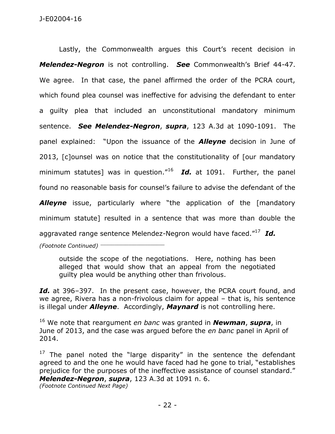Lastly, the Commonwealth argues this Court's recent decision in *Melendez-Negron* is not controlling. *See* Commonwealth's Brief 44-47. We agree. In that case, the panel affirmed the order of the PCRA court, which found plea counsel was ineffective for advising the defendant to enter a guilty plea that included an unconstitutional mandatory minimum sentence. *See Melendez-Negron*, *supra*, 123 A.3d at 1090-1091. The panel explained: "Upon the issuance of the *Alleyne* decision in June of 2013, [c]ounsel was on notice that the constitutionality of [our mandatory minimum statutes] was in question."<sup>16</sup> *Id.* at 1091. Further, the panel found no reasonable basis for counsel's failure to advise the defendant of the **Alleyne** issue, particularly where "the application of the [mandatory minimum statute] resulted in a sentence that was more than double the

aggravated range sentence Melendez-Negron would have faced."<sup>17</sup> *Id.*

*(Footnote Continued)* \_\_\_\_\_\_\_\_\_\_\_\_\_\_\_\_\_\_\_\_\_\_\_

outside the scope of the negotiations. Here, nothing has been alleged that would show that an appeal from the negotiated guilty plea would be anything other than frivolous.

Id. at 396–397. In the present case, however, the PCRA court found, and we agree, Rivera has a non-frivolous claim for appeal – that is, his sentence is illegal under *Alleyne*. Accordingly, *Maynard* is not controlling here.

<sup>16</sup> We note that reargument *en banc* was granted in *Newman*, *supra*, in June of 2013, and the case was argued before the *en banc* panel in April of 2014.

 $17$  The panel noted the "large disparity" in the sentence the defendant agreed to and the one he would have faced had he gone to trial, "establishes prejudice for the purposes of the ineffective assistance of counsel standard." *Melendez-Negron*, *supra*, 123 A.3d at 1091 n. 6.

*(Footnote Continued Next Page)*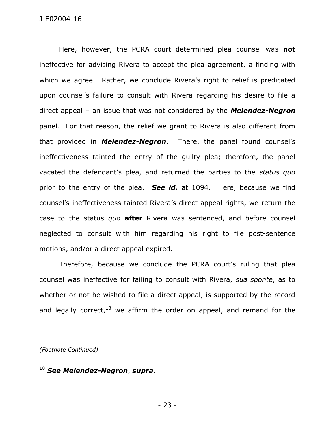Here, however, the PCRA court determined plea counsel was **not** ineffective for advising Rivera to accept the plea agreement, a finding with which we agree. Rather, we conclude Rivera's right to relief is predicated upon counsel's failure to consult with Rivera regarding his desire to file a direct appeal – an issue that was not considered by the *Melendez-Negron* panel. For that reason, the relief we grant to Rivera is also different from that provided in *Melendez-Negron*. There, the panel found counsel's ineffectiveness tainted the entry of the guilty plea; therefore, the panel vacated the defendant's plea, and returned the parties to the *status quo* prior to the entry of the plea. *See id.* at 1094. Here, because we find counsel's ineffectiveness tainted Rivera's direct appeal rights, we return the case to the status *quo* **after** Rivera was sentenced, and before counsel neglected to consult with him regarding his right to file post-sentence motions, and/or a direct appeal expired.

Therefore, because we conclude the PCRA court's ruling that plea counsel was ineffective for failing to consult with Rivera, *sua sponte*, as to whether or not he wished to file a direct appeal, is supported by the record and legally correct,  $18$  we affirm the order on appeal, and remand for the

*(Footnote Continued)* \_\_\_\_\_\_\_\_\_\_\_\_\_\_\_\_\_\_\_\_\_\_\_

<sup>18</sup> *See Melendez-Negron*, *supra*.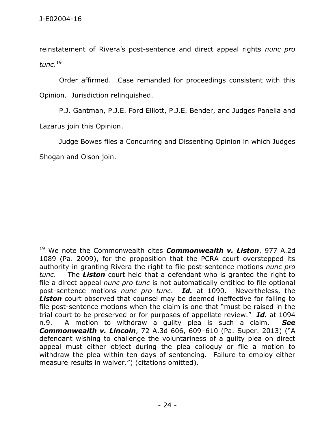reinstatement of Rivera's post-sentence and direct appeal rights *nunc pro tunc*. 19

Order affirmed. Case remanded for proceedings consistent with this Opinion. Jurisdiction relinquished.

P.J. Gantman, P.J.E. Ford Elliott, P.J.E. Bender, and Judges Panella and Lazarus join this Opinion.

Judge Bowes files a Concurring and Dissenting Opinion in which Judges Shogan and Olson join.

<sup>19</sup> We note the Commonwealth cites *Commonwealth v. Liston*, 977 A.2d 1089 (Pa. 2009), for the proposition that the PCRA court overstepped its authority in granting Rivera the right to file post-sentence motions *nunc pro tunc*. The *Liston* court held that a defendant who is granted the right to file a direct appeal *nunc pro tunc* is not automatically entitled to file optional post-sentence motions *nunc pro tunc*. *Id.* at 1090. Nevertheless, the *Liston* court observed that counsel may be deemed ineffective for failing to file post-sentence motions when the claim is one that "must be raised in the trial court to be preserved or for purposes of appellate review." *Id.* at 1094 n.9. A motion to withdraw a guilty plea is such a claim. *See Commonwealth v. Lincoln*, 72 A.3d 606, 609–610 (Pa. Super. 2013) ("A defendant wishing to challenge the voluntariness of a guilty plea on direct appeal must either object during the plea colloquy or file a motion to withdraw the plea within ten days of sentencing. Failure to employ either measure results in waiver.") (citations omitted).